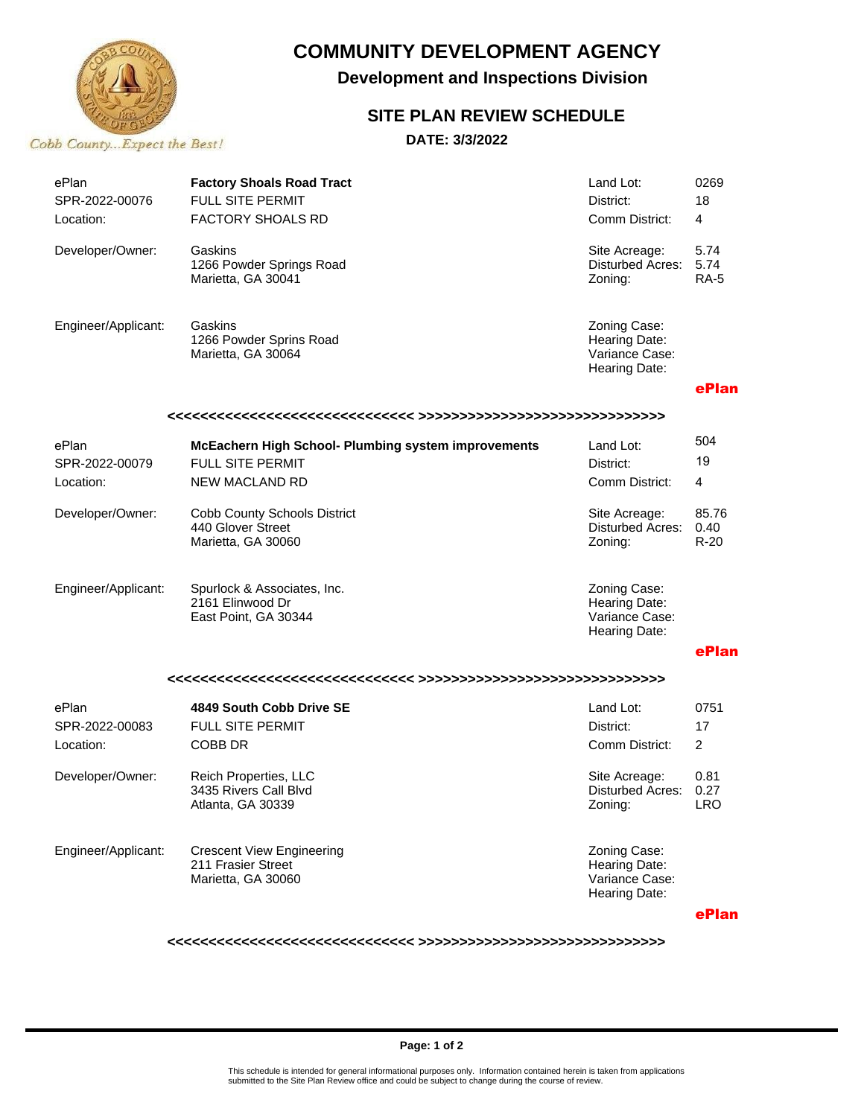

# **COMMUNITY DEVELOPMENT AGENCY**

**Development and Inspections Division**

#### **SITE PLAN REVIEW SCHEDULE**

**DATE: 3/3/2022**

| ePlan<br>SPR-2022-00076<br>Location: | <b>Factory Shoals Road Tract</b><br>FULL SITE PERMIT<br><b>FACTORY SHOALS RD</b> | Land Lot:<br>District:<br>Comm District:                         | 0269<br>18<br>4             |  |  |
|--------------------------------------|----------------------------------------------------------------------------------|------------------------------------------------------------------|-----------------------------|--|--|
| Developer/Owner:                     | Gaskins<br>1266 Powder Springs Road<br>Marietta, GA 30041                        | Site Acreage:<br>Disturbed Acres:<br>Zoning:                     | 5.74<br>5.74<br><b>RA-5</b> |  |  |
| Engineer/Applicant:                  | Gaskins<br>1266 Powder Sprins Road<br>Marietta, GA 30064                         | Zoning Case:<br>Hearing Date:<br>Variance Case:<br>Hearing Date: |                             |  |  |
|                                      |                                                                                  |                                                                  | ePlan                       |  |  |
|                                      |                                                                                  |                                                                  | 504                         |  |  |
| ePlan                                | <b>McEachern High School- Plumbing system improvements</b>                       | Land Lot:                                                        | 19                          |  |  |
| SPR-2022-00079                       | <b>FULL SITE PERMIT</b>                                                          | District:                                                        |                             |  |  |
| Location:                            | <b>NEW MACLAND RD</b>                                                            | Comm District:                                                   | 4                           |  |  |
| Developer/Owner:                     | <b>Cobb County Schools District</b><br>440 Glover Street<br>Marietta, GA 30060   | Site Acreage:<br>Disturbed Acres:<br>Zoning:                     | 85.76<br>0.40<br>$R-20$     |  |  |
| Engineer/Applicant:                  | Spurlock & Associates, Inc.<br>2161 Elinwood Dr<br>East Point, GA 30344          | Zoning Case:<br>Hearing Date:<br>Variance Case:<br>Hearing Date: |                             |  |  |
|                                      |                                                                                  |                                                                  | ePlan                       |  |  |
|                                      |                                                                                  |                                                                  |                             |  |  |
| ePlan                                | 4849 South Cobb Drive SE                                                         | Land Lot:                                                        | 0751                        |  |  |
| SPR-2022-00083                       | FULL SITE PERMIT                                                                 | District:                                                        | 17                          |  |  |
| Location:                            | COBB DR                                                                          | Comm District:                                                   | $\overline{2}$              |  |  |
| Developer/Owner:                     | Reich Properties, LLC<br>3435 Rivers Call Blvd<br>Atlanta, GA 30339              | Site Acreage:<br>Disturbed Acres:<br>Zoning:                     | 0.81<br>0.27<br><b>LRO</b>  |  |  |
| Engineer/Applicant:                  | <b>Crescent View Engineering</b><br>211 Frasier Street<br>Marietta, GA 30060     | Zoning Case:<br>Hearing Date:<br>Variance Case:<br>Hearing Date: |                             |  |  |

**ePlan**

**<<<<<<<<<<<<<<<<<<<<<<<<<<<<<< >>>>>>>>>>>>>>>>>>>>>>>>>>>>>>**